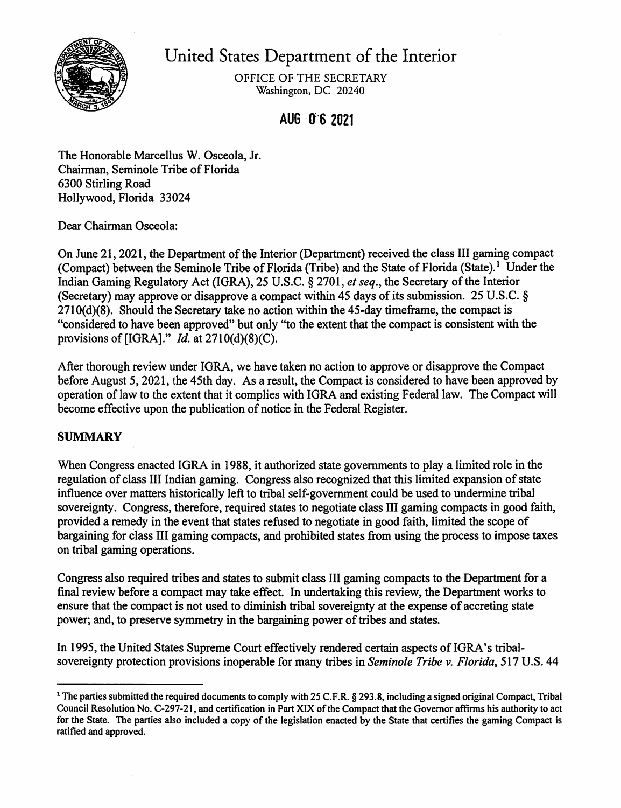

United States Department of the Interior

OFFICE OF THE SECRETARY Washington, DC 20240

AUG 06 2021

The Honorable Marcellus W. Osceola, Jr. Chairman, Seminole Tribe of Florida 6300 Stirling Road Hollywood, Florida 33024

Dear Chairman Osceola:

On June 21, 2021, the Department of the Interior (Department) received the class III gaming compact (Compact) between the Seminole Tribe of Florida (Tribe) and the State of Florida (State).<sup>1</sup> Under the Indian Gaming Regulatory Act (IGRA), 25 U.S.C. § 2701, *et seq.,* the Secretary ofthe Interior (Secretary) may approve or disapprove a compact within 45 days of its submission. 25 U.S.C.  $\S$ 2710(d)(8). Should the Secretary take no action within the 45-day timeframe, the compact is "considered to have been approved" but only "to the extent that the compact is consistent with the provisions of [IGRA]." *Id.* at 2710(d)(8)(C).

After thorough review under IGRA, we have taken no action to approve or disapprove the Compact before August 5, 2021, the 45th day. As a result, the Compact is considered to have been approved by operation oflaw to the extent that it complies with IGRA and existing Federal law. The Compact will become effective upon the publication of notice in the Federal Register.

# **SUMMARY**

When Congress enacted IGRA in 1988, it authorized state governments to play a limited role in the regulation of class III Indian gaming. Congress also recognized that this limited expansion of state influence over matters historically left to tribal self-government could be used to undermine tribal sovereignty. Congress, therefore, required states to negotiate class III gaming compacts in good faith, provided a remedy in the event that states refused to negotiate in good faith, limited the scope of bargaining for class III gaming compacts, and prohibited states from using the process to impose taxes on tribal gaming operations.

Congress also required tribes and states to submit class III gaming compacts to the Department for a final review before a compact may take effect. In undertaking this review, the Department works to ensure that the compact is not used to diminish tribal sovereignty at the expense of accreting state power; and, to preserve symmetry in the bargaining power of tribes and states.

In 1995, the United States Supreme Court effectively rendered certain aspects of IGRA's tribalsovereignty protection provisions inoperable for many tribes in *Seminole Tribe v. Florida,* 517 U.S. 44

<sup>&</sup>lt;sup>1</sup> The parties submitted the required documents to comply with 25 C.F.R. § 293.8, including a signed original Compact, Tribal Council Resolution No. C-297-21, and certification in Part XIX of the Compact that the Governor affirms his authority to act for the State. The parties also included a copy of the legislation enacted by the State that certifies the gaming Compact is ratified and approved.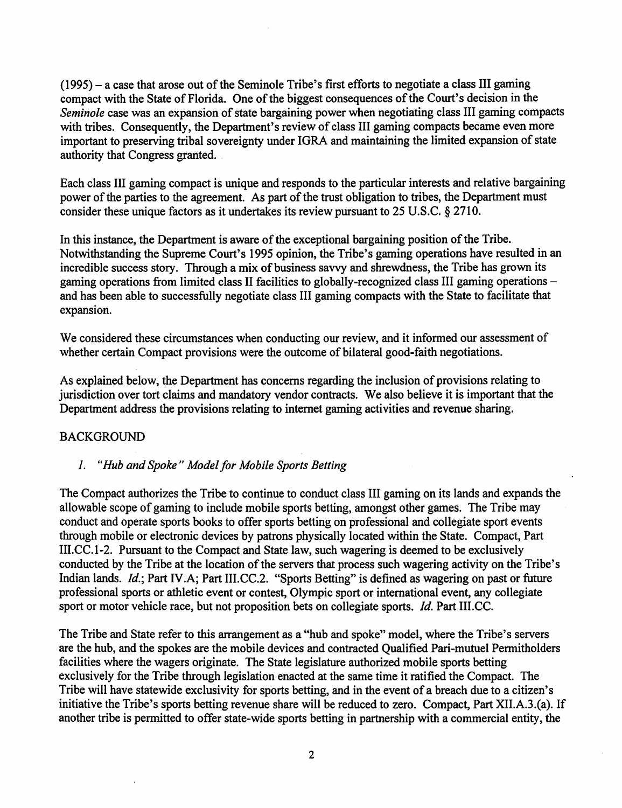$(1995)$  – a case that arose out of the Seminole Tribe's first efforts to negotiate a class III gaming compact with the State of Florida. One of the biggest consequences of the Court's decision in the *Seminole* case was an expansion of state bargaining power when negotiating class III gaming compacts with tribes. Consequently, the Department's review of class III gaming compacts became even more important to preserving tribal sovereignty under IGRA and maintaining the limited expansion of state authority that Congress granted. .

Each class III gaming compact is unique and responds to the particular interests and relative bargaining power of the parties to the agreement. As part of the trust obligation to tribes, the Department must consider these unique factors as it undertakes its review pursuant to 25 U.S.C. § 2710.

In this instance, the Department is aware of the exceptional bargaining position of the Tribe. Notwithstanding the Supreme Court's 1995 opinion, the Tribe's gaming operations have resulted in an incredible success story. Through a mix of business savvy and shrewdness, the Tribe has grown its gaming operations from limited class II facilities to globally-recognized class III gaming operations and has been able to successfully negotiate class III gaming compacts with the State to facilitate that expansion.

We considered these circumstances when conducting our review, and it informed our assessment of whether certain Compact provisions were the outcome of bilateral good-faith negotiations.

As explained below, the Department has concerns regarding the inclusion of provisions relating to jurisdiction over tort claims and mandatory vendor contracts. We also believe it is important that the Department address the provisions relating to internet gaming activities and revenue sharing.

### **BACKGROUND**

### *1. "Hub and Spoke" Mode/for Mobile Sports Betting*

The Compact authorizes the Tribe to continue to conduct class III gaming on its lands and expands the allowable scope of gaming to include mobile sports betting, amongst other games. The Tribe may conduct and operate sports books to offer sports betting on professional and collegiate sport events through mobile or electronic devices by patrons physically located within the State. Compact, Part III.CC.1-2. Pursuant to the Compact and State law, such wagering is deemed to be exclusively conducted by the Tribe at the location of the servers that process such wagering activity on the Tribe's Indian lands. *Id.*; Part IV.A; Part III.CC.2. "Sports Betting" is defined as wagering on past or future professional sports or athletic event or contest, Olympic sport or international event, any collegiate sport or motor vehicle race, but not proposition bets on collegiate sports. *Id.* Part III.CC.

The Tribe and State refer to this arrangement as a "hub and spoke" model, where the Tribe's servers are the hub, and the spokes are the mobile devices and contracted Qualified Pari-mutuel Permitholders facilities where the wagers originate. The State legislature authorized mobile sports betting exclusively for the Tribe through legislation enacted at the same time it ratified the Compact. The Tribe will have statewide exclusivity for sports betting, and in the event of a breach due to a citizen's initiative the Tribe's sports betting revenue share will be reduced to zero. Compact, Part XII.A.3.(a). If another tribe is permitted to offer state-wide sports betting in partnership with a commercial entity, the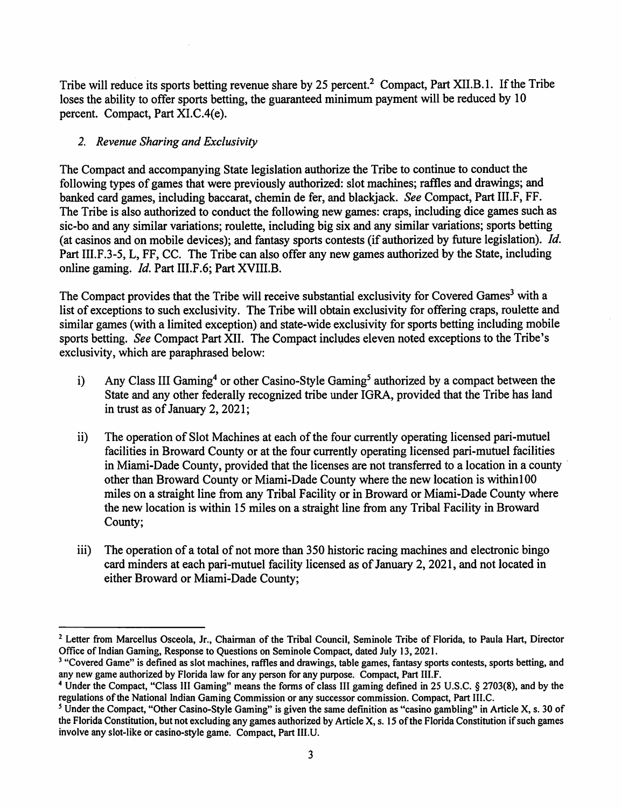Tribe will reduce its sports betting revenue share by 25 percent.<sup>2</sup> Compact, Part XII.B.1. If the Tribe loses the ability to offer sports betting, the guaranteed minimum payment will be reduced by 10 percent. Compact, Part XI.C.4(e).

#### *2. Revenue Sharing and Exclusivity*

The Compact and accompanying State legislation authorize the Tribe to continue to conduct the following types of games that were previously authorized: slot machines; raffles and drawings; and banked card games, including baccarat, chemin de fer, and blackjack. *See* Compact, Part 111.F, FF. The Tribe is also authorized to conduct the following new games: craps, including dice games such as sic-ho and any similar variations; roulette, including big six and any similar variations; sports betting (at casinos and on mobile devices); and fantasy sports contests (if authorized by future legislation). *Id.*  Part 111.F.3-5, L, FF, CC. The Tribe can also offer any new games authorized by the State, including online gaming. *Id.* Part III.F.6; Part XVIII.B.

The Compact provides that the Tribe will receive substantial exclusivity for Covered Games<sup>3</sup> with a list of exceptions to such exclusivity. The Tribe will obtain exclusivity for offering craps, roulette and similar games (with a limited exception) and state-wide exclusivity for sports betting including mobile sports betting. *See* Compact Part XII. The Compact includes eleven noted exceptions to the Tribe's exclusivity, which are paraphrased below:

- i) Any Class III Gaming<sup>4</sup> or other Casino-Style Gaming<sup>5</sup> authorized by a compact between the State and any other federally recognized tribe under IGRA, provided that the Tribe has land in trust as of January 2, 2021;
- ii) The operation of Slot Machines at each of the four currently operating licensed pari-mutuel facilities in Broward County or at the four currently operating licensed pari-mutuel facilities in Miami-Dade County, provided that the licenses are not transferred to a location in a county other than Broward County or Miami-Dade County where the new location is withinl00 miles on a straight line from any Tribal Facility or in Broward or Miami-Dade County where the new location is within 15 miles on a straight line from any Tribal Facility in Broward County;
- iii) The operation of a total of not more than 350 historic racing machines and electronic bingo card minders at each pari-mutuel facility licensed as of January 2, 2021, and not located in either Broward or Miami-Dade County;

<sup>&</sup>lt;sup>2</sup> Letter from Marcellus Osceola, Jr., Chairman of the Tribal Council, Seminole Tribe of Florida, to Paula Hart, Director Office of Indian Gaming, Response to Questions on Seminole Compact, dated July 13, 2021.

<sup>&</sup>lt;sup>3</sup> "Covered Game" is defined as slot machines, raffles and drawings, table games, fantasy sports contests, sports betting, and any new game authorized by Florida law for any person for any purpose. Compact, Part III.F.

<sup>4</sup> Under the Compact, "Class III Gaming" means the forms of class III gaming defined in 25 U.S.C. § 2703(8), and by the regulations ofthe National Indian Gaming Commission or any successor commission. Compact, Part III.C.

*<sup>5</sup>*Under the Compact, "Other Casino-Style Gaming" is given the same definition as "casino gambling" in Article X, s. 30 of the Florida Constitution, but not excluding any games authorized by Article X, s. 15 of the Florida Constitution if such games involve any slot-like or casino-style game. Compact, Part III.U.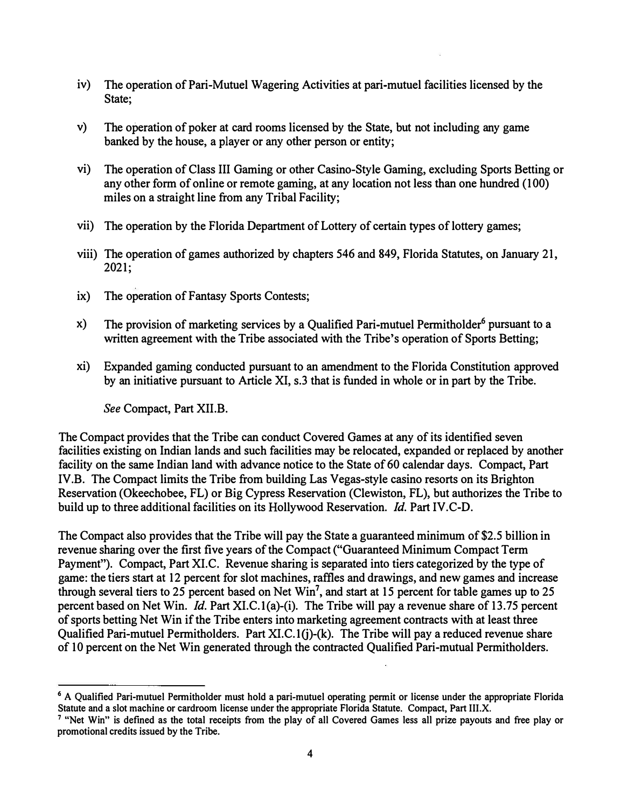- iv) The operation of Pari-Mutuel Wagering Activities at pari-mutuel facilities licensed by the State;
- v) The operation of poker at card rooms licensed by the State, but not including any game banked by the house, a player or any other person or entity;
- vi) The operation of Class III Gaming or other Casino-Style Gaming, excluding Sports Betting or any other form of online or remote gaming, at any location not less than one hundred ( 100) miles on a straight line from any Tribal Facility;
- vii) The operation by the Florida Department of Lottery of certain types of lottery games;
- viii) The operation of games authorized by chapters 546 and 849, Florida Statutes, on January 21, 2021;
- ix) The operation of Fantasy Sports Contests;
- x) The provision of marketing services by a Qualified Pari-mutuel Permitholder**6** pursuant to a written agreement with the Tribe associated with the Tribe's operation of Sports Betting;
- xi) Expanded gaming conducted pursuant to an amendment to the Florida Constitution approved by an initiative pursuant to Article XI, s.3 that is funded in whole or in part by the Tribe.

*See* Compact, Part XII.B.

The Compact provides that the Tribe can conduct Covered Games at any of its identified seven facilities existing on Indian lands and such facilities may be relocated, expanded or replaced by another facility on the same Indian land with advance notice to the State of 60 calendar days. Compact, Part IV.B. The Compact limits the Tribe from building Las Vegas-style casino resorts on its Brighton Reservation (Okeechobee, FL) or Big Cypress Reservation (Clewiston, FL), but authorizes the Tribe to build up to three additional facilities on its Hollywood Reservation. *Id.* Part IV.C-D.

The Compact also provides that the Tribe will pay the State a guaranteed minimum of \$2.5 billion in revenue sharing over the first five years of the Compact ("Guaranteed Minimum Compact Term Payment"). Compact, Part XI.C. Revenue sharing is separated into tiers categorized by the type of game: the tiers start at 12 percent for slot machines, raffles and drawings, and new games and increase through several tiers to 25 percent based on Net Win<sup>7</sup>, and start at 15 percent for table games up to 25 percent based on Net Win. *Id.* Part XI.C.l{a)-(i). The Tribe will pay a revenue share of 13.75 percent of sports betting Net Win if the Tribe enters into marketing agreement contracts with at least three Qualified Pari-mutuel Permitholders. Part  $XI.C.1(j)-(k)$ . The Tribe will pay a reduced revenue share of 10 percent on the Net Win generated through the contracted Qualified Pari-mutual Permitholders.

<sup>&</sup>lt;sup>6</sup> A Qualified Pari-mutuel Permitholder must hold a pari-mutuel operating permit or license under the appropriate Florida **Statute and a slot machine or cardroom license under the appropriate Florida Statute. Compact, Part III.X.** 

**<sup>7 &</sup>quot;Net Win" is defined as the total receipts from the play of all Covered Games less all prize payouts and free play or promotional credits issued by the Tribe.**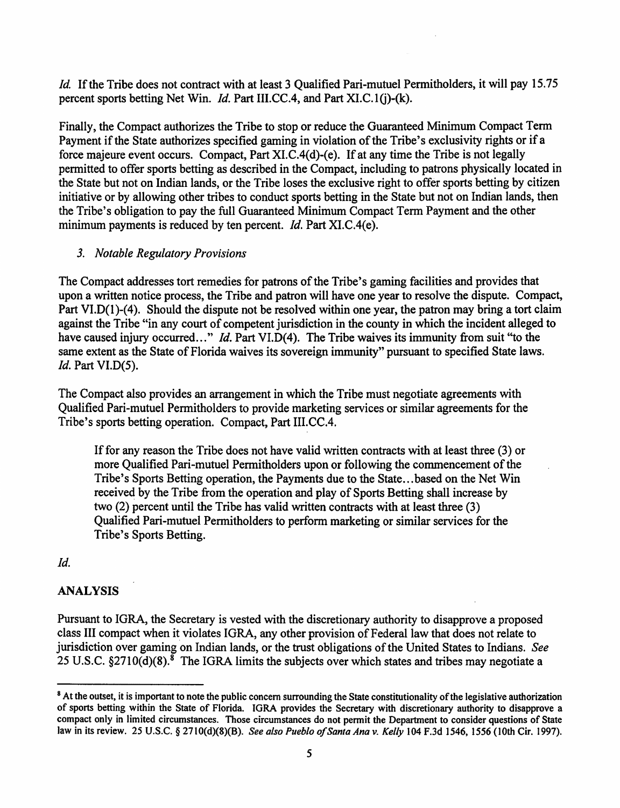*Id.* If the Tribe does not contract with at least 3 Qualified Pari-mutuel Permitholders, it will pay 15.75 percent sports betting Net Win. *Id.* Part III.CC.4, and Part XI.C.1(j)-(k).

Finally, the Compact authorizes the Tribe to stop or reduce the Guaranteed Minimum Compact Term Payment if the State authorizes specified gaming in violation of the Tribe's exclusivity rights or if a force majeure event occurs. Compact, Part XI.C.4(d)-(e). If at any time the Tribe is not legally permitted to offer sports betting as described in the Compact, including to patrons physically located in the State but not on Indian lands, or the Tribe loses the exclusive right to offer sports betting by citizen initiative or by allowing other tribes to conduct sports betting in the State but not on Indian lands, then the Tribe's obligation to pay the full Guaranteed Minimum Compact Term Payment and the other minimum payments is reduced by ten percent. *Id*. Part XI.C.4(e).

#### *3. Notable Regulatory Provisions*

The Compact addresses tort remedies for patrons of the Tribe's gaming facilities and provides that upon a written notice process, the Tribe and patron will have one year to resolve the dispute. Compact, Part VI.D(1)-(4). Should the dispute not be resolved within one year, the patron may bring a tort claim against the Tribe "in any court of competent jurisdiction in the county in which the incident alleged to have caused injury occurred..." *Id.* Part VI.D(4). The Tribe waives its immunity from suit "to the same extent as the State of Florida waives its sovereign immunity" pursuant to specified State laws. *Id.* Part VI.D(5).

The Compact also provides an arrangement in which the Tribe must negotiate agreements with Qualified Pari-mutuel Permitholders to provide marketing services or similar agreements for the Tribe's sports betting operation. Compact, Part 111.CC.4.

Iffor any reason the Tribe does not have valid written contracts with at least three (3) or more Qualified Pari-mutuel Permitholders upon or following the commencement of the Tribe's Sports Betting operation, the Payments due to the State ...based on the Net Win received by the Tribe from the operation and play of Sports Betting shall increase by two (2) percent until the Tribe has valid written contracts with at least three (3) Qualified Pari-mutuel Permitholders to perform marketing or similar services for the Tribe's Sports Betting.

#### *Id.*

### **ANALYSIS**

Pursuant to IGRA, the Secretary is vested with the discretionary authority to disapprove a proposed class III compact when it violates IGRA, any other provision of Federal law that does not relate to jurisdiction over gaming on Indian lands, or the trust obligations of the United States to Indians. *See* 25 U.S.C.  $\S 2710(d)(8)$ .<sup>8</sup> The IGRA limits the subjects over which states and tribes may negotiate a

<sup>&</sup>lt;sup>8</sup> At the outset, it is important to note the public concern surrounding the State constitutionality of the legislative authorization of sports betting within the State of Florida. IGRA provides the Secretary with discretionary authority to disapprove a compact only in limited circumstances. Those circumstances do not permit the Department to consider questions of State law in its review. 25 U.S.C. § 2710(d)(8)(B). *See also Pueblo ofSanta Ana v. Kelly* 104 F.3d 1546, 1556 (10th Cir. 1997).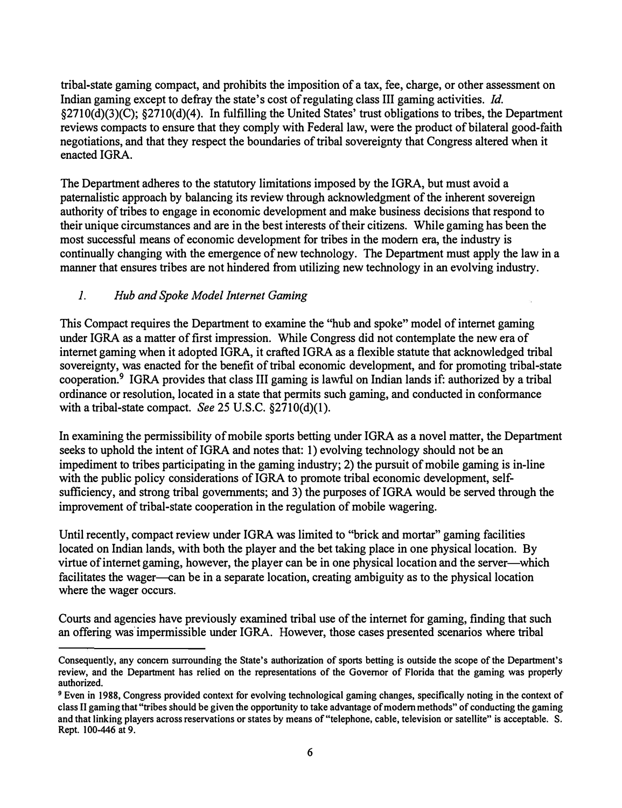tribal-state gaming compact, and prohibits the imposition of a tax, fee, charge, or other assessment on Indian gaming except to defray the state's cost of regulating class III gaming activities. *Id.*  §2710(d)(3)(C); §2710(d)(4). In fulfilling the United States' trust obligations to tribes, the Department reviews compacts to ensure that they comply with Federal law, were the product of bilateral good-faith negotiations, and that they respect the boundaries of tribal sovereignty that Congress altered when it enacted IGRA.

The Department adheres to the statutory limitations imposed by the IGRA, but must avoid a paternalistic approach by balancing its review through acknowledgment of the inherent sovereign authority of tribes to engage in economic development and make business decisions that respond to their unique circumstances and are in the best interests of their citizens. While gaming has been the most successful means of economic development for tribes in the modern era, the industry is continually changing with the emergence of new technology. The Department must apply the law in a manner that ensures tribes are not hindered from utilizing new technology in an evolving industry.

# *1. Hub and Spoke Model Internet Gaming*

This Compact requires the Department to examine the "hub and spoke" model of internet gaming under IGRA as a matter of first impression. While Congress did not contemplate the new era of internet gaming when it adopted IGRA, it crafted IGRA as a flexible statute that acknowledged tribal sovereignty, was enacted for the benefit of tribal economic development, and for promoting tribal-state cooperation.**9** IGRA provides that class III gaming is lawful on Indian lands if: authorized by a tribal ordinance or resolution, located in a state that permits such gaming, and conducted in conformance with a tribal-state compact. *See* 25 U.S.C. §2710(d)(l).

In examining the permissibility of mobile sports betting under IGRA as a novel matter, the Department seeks to uphold the intent of IGRA and notes that: 1) evolving technology should not be an impediment to tribes participating in the gaming industry; 2) the pursuit of mobile gaming is in-line with the public policy considerations of IGRA to promote tribal economic development, selfsufficiency, and strong tribal governments; and 3) the purposes of IGRA would be served through the improvement of tribal-state cooperation in the regulation of mobile wagering.

Until recently, compact review under IGRA was limited to "brick and mortar" gaming facilities located on Indian lands, with both the player and the bet taking place in one physical location. By virtue of internet gaming, however, the player can be in one physical location and the server-which facilitates the wager—can be in a separate location, creating ambiguity as to the physical location where the wager occurs.

Courts and agencies have previously examined tribal use of the internet for gaming, finding that such an offering was impermissible under IGRA. However, those cases presented scenarios where tribal

**Consequently, any concern surrounding the State's authorization of sports betting is outside the scope of the Department's review, and the Department has relied on the representations of the Governor of Florida that the gaming was properly authorized.** 

**<sup>9</sup> Even in 1988, Congress provided context for evolving technological gaming changes, specifically noting in the context of class II gaming that "tribes should be given the opportunity to take advantage of modem methods" of conducting the gaming and that linking players across reservations or states by means of "telephone, cable, television or satellite" is acceptable. S. Rept.** 100-446 **at 9.**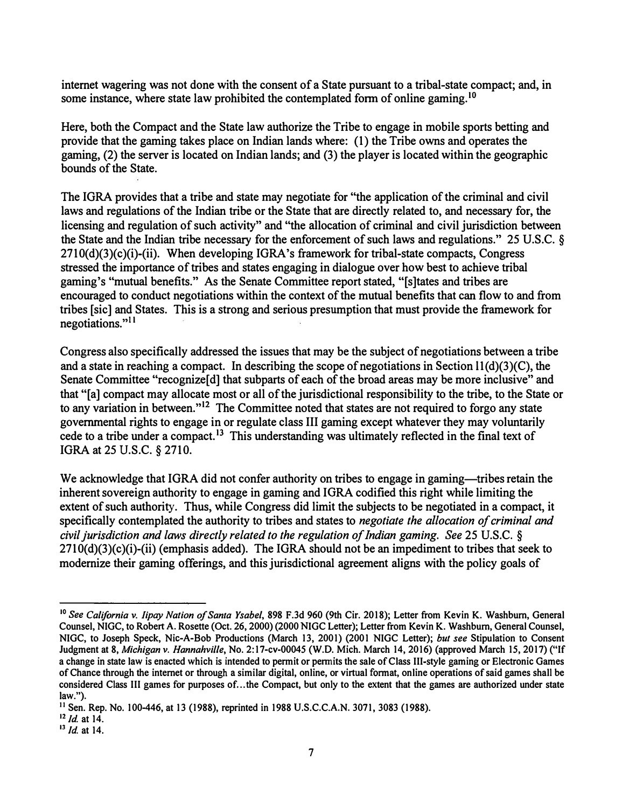**internet wagering was not done with the consent of a State pursuant to a tribal-state compact; and, in some instance, where state law prohibited the contemplated form of online [gaming.](https://gaming.10)**<sup>10</sup>

**Here, both the Compact and the State law authorize the Tribe to engage in mobile sports betting and provide that the gaming takes place on Indian lands where: (1) the Tribe owns and operates the gaming, (2) the server is located on Indian lands; and (3) the player is located within the geographic bounds of the State.** 

**The IGRA provides that a tribe and state may negotiate for "the application of the criminal and civil laws and regulations of the Indian tribe or the State that are directly related to, and necessary for, the licensing and regulation of such activity" and "the allocation of criminal and civil jurisdiction between the State and the Indian tribe necessary for the enforcement of such laws and regulations." 25 U.S.C. § 2710(d)(3)(c)(i)-(ii). When developing IGRA's framework for tribal-state compacts, Congress stressed the importance of tribes and states engaging in dialogue over how best to achieve tribal gaming's "mutual benefits." As the Senate Committee report stated, "[s]tates and tribes are encouraged to conduct negotiations within the context of the mutual benefits that can flow to and from tribes [sic] and States. This is a strong and serious presumption that must provide the framework for negotiations."**<sup>11</sup>

**Congress also specifically addressed the issues that may be the subject of negotiations between a tribe**  and a state in reaching a compact. In describing the scope of negotiations in Section 11(d)(3)(C), the Senate Committee "recognize<sup>[d]</sup> that subparts of each of the broad areas may be more inclusive" and **that "[a] compact may allocate most or all of the jurisdictional responsibility to the tribe, to the State or to any variation in between."**12 **The Committee noted that states are not required to forgo any state governmental tights to engage in or regulate class III gaming except whatever they may voluntarily cede to a tribe under a compact.**13 **This understanding was ultimately reflected in the final text of IGRA at 25 U.S.C. § 2710.** 

We acknowledge that IGRA did not confer authority on tribes to engage in gaming—tribes retain the **inherent sovereign authority to engage in gaming and I ORA codified this right while limiting the extent of such authority. Thus, while Congress did limit the subjects to be negotiated in a compact, it specifically contemplated the authority to tribes and states to** *negotiate the allocation of criminal and civil jurisdiction and laws directly related to the regulation of Indian gaming. See* **25 U.S.C. § 2710(d)(3)(c)(i)-(ii) (emphasis added). The IGRA should not be an impediment to tribes that seek to modernize their gaming offerings, and this jurisdictional agreement aligns with the policy goals of** 

**<sup>10</sup>***See California v. lipay Nation of Santa Ysabel,* **898 F.3d 960 (9th Cir. 2018); Letter from Kevin K. Washburn, General Counsel, NIGC, to Robert A. Rosette (Oct. 26, 2000) (2000 NIGC Letter); Letter from Kevin K. Washburn, General Counsel, NIGC, to Joseph Speck, Nie-A-Bob Productions (March 13, 2001) (2001 NIGC Letter);** *but see* **Stipulation to Consent Judgment at 8,** *Michigan v. Hannahville,* **No. 2:17-cv-00045 (W.D. Mich. March 14, 2016) (approved March 15, 2017) ("If a change in state law is enacted which is intended to permit or permits the sale of Class III-style gaming or Electronic Games of Chance through the internet or through a similar digital, online, or virtual format, online operations of said games shall be considered Class III games for purposes of ... the Compact, but only to the extent that the games are authorized under state law.").**

**<sup>11</sup> Sen. Rep. No. 100-446, at 13 (1988), reprinted in 1988 U.S.C.C.A.N. 3071, 3083 (1988).**

 $12$  *Id.* at 14.

**<sup>13</sup>Id at 14.**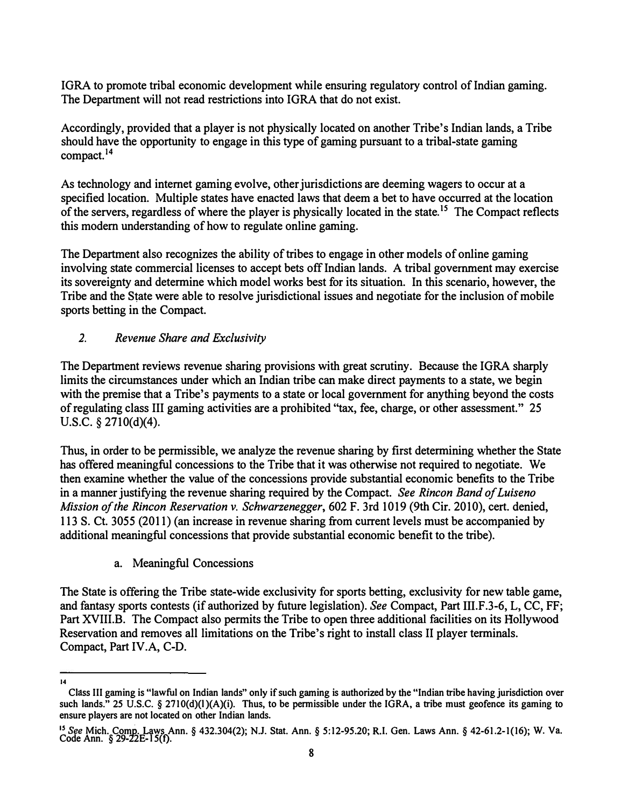IGRA to promote tribal economic development while ensuring regulatory control of Indian gaming. The Department will not read restrictions into IGRA that do not exist.

Accordingly, provided that a player is not physically located on another Tribe's Indian lands, a Tribe should have the opportunity to engage in this type of gaming pursuant to a tribal-state gaming [compact.](https://compact.14) **14**

As technology and internet gaming evolve, other jurisdictions are deeming wagers to occur at a specified location. Multiple states have enacted laws that deem a bet to have occurred at the location of the servers, regardless of where the player is physically located in the [state.](https://state.15)<sup>15</sup> The Compact reflects this modem understanding of how to regulate online gaming.

The Department also recognizes the ability of tribes to engage in other models of online gaming involving state commercial licenses to accept bets off Indian lands. A tribal government may exercise its sovereignty and determine which model works best for its situation. In this scenario, however, the Tribe and the State were able to resolve jurisdictional issues and negotiate for the inclusion of mobile sports betting in the Compact.

# *2. Revenue Share and Exclusivity*

The Department reviews revenue sharing provisions with great scrutiny. Because the IGRA sharply limits the circumstances under which an Indian tribe can make direct payments to a state, we begin with the premise that a Tribe's payments to a state or local government for anything beyond the costs of regulating class III gaming activities are a prohibited "tax, fee, charge, or other assessment." 25 U.S.C. § 2710(d)(4).

Thus, in order to be permissible, we analyze the revenue sharing by first determining whether the State has offered meaningful concessions to the Tribe that it was otherwise not required to negotiate. We then examine whether the value of the concessions provide substantial economic benefits to the Tribe in a manner justifying the revenue sharing required by the Compact. *See Rincon Band ofLuiseno Mission ofthe Rincon Reservation v. Schwarzenegger,* 602 F. 3rd 1019 (9th Cir. 2010), cert. denied, 113 S. Ct. 3055 (2011) (an increase in revenue sharing from current levels must be accompanied by additional meaningful concessions that provide substantial economic benefit to the tribe).

a. Meaningful Concessions

The State is offering the Tribe state-wide exclusivity for sports betting, exclusivity for new table game, and fantasy sports contests (if authorized by future legislation). *See* Compact, Part 111.F .3-6, L, CC, FF; Part XVIII.B. The Compact also permits the Tribe to open three additional facilities on its Hollywood Reservation and removes all limitations on the Tribe's right to install class II player terminals. Compact, Part IV.A, C-D.

**<sup>14</sup>** 

**Class III gaming is "lawful on Indian lands" only if such gaming is authorized by the "Indian tribe having jurisdiction over such lands." 25 U.S.C. § 2710(d)(l)(A)(i). Thus, to be pennissible under the IGRA, a tribe must geofence its gaming to ensure players are not located on other Indian lands.** 

<sup>15</sup>*See* **Mich. Comp. Laws Ann.§ 432.304(2); N.J. Stat. Ann.§ [5:12-95.20](https://5:12-95.20); R.I. Gen. Laws Ann.§ 42-61.2-1(16); W. Va. Code Ann. § 29-22E-l 5(t).**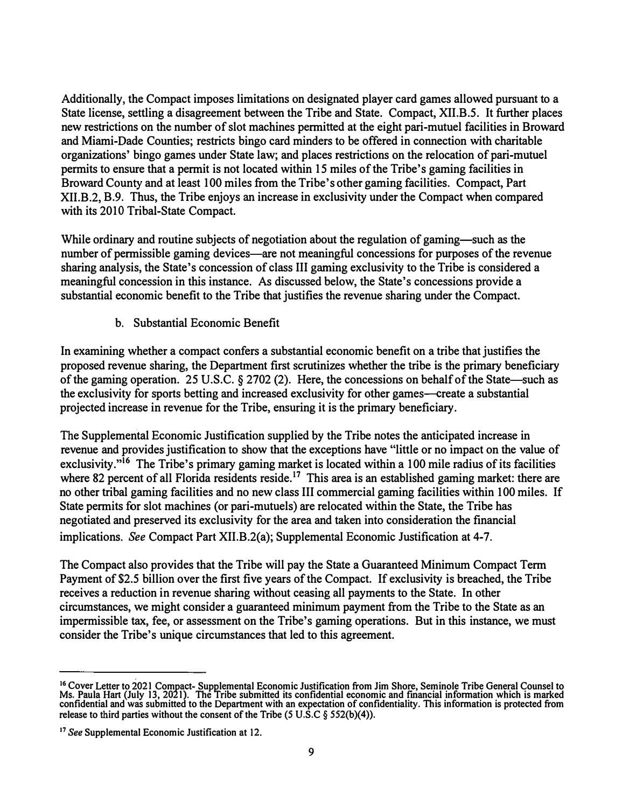Additionally, the Compact imposes limitations on designated player card games allowed pursuant to a State license, settling a disagreement between the Tribe and State. Compact, XII.B.5. It further places new restrictions on the number of slot machines permitted at the eight pari-mutuel facilities in Broward and Miami-Dade Counties; restricts bingo card minders to be offered in connection with charitable organizations' bingo games under State law; and places restrictions on the relocation of pari-mutuel permits to ensure that a permit is not located within 15 miles of the Tribe's gaming facilities in Broward County and at least 100 miles from the Tribe's other gaming facilities. Compact, Part XII.B.2, B.9. Thus, the Tribe enjoys an increase in exclusivity under the Compact when compared with its 2010 Tribal-State Compact.

While ordinary and routine subjects of negotiation about the regulation of gaming-such as the number of permissible gaming devices—are not meaningful concessions for purposes of the revenue sharing analysis, the State's concession of class III gaming exclusivity to the Tribe is considered a meaningful concession in this instance. As discussed below, the State's concessions provide a substantial economic benefit to the Tribe that justifies the revenue sharing under the Compact.

b. Substantial Economic Benefit

In examining whether a compact confers a substantial economic benefit on a tribe that justifies the proposed revenue sharing, the Department first scrutinizes whether the tribe is the primary beneficiary of the gaming operation. 25 U.S.C. § 2702 (2). Here, the concessions on behalf of the State-such as the exclusivity for sports betting and increased exclusivity for other games—create a substantial projected increase in revenue for the Tribe, ensuring it is the primary beneficiary.

The Supplemental Economic Justification supplied by the Tribe notes the anticipated increase in revenue and provides justification to show that the exceptions have "little or no impact on the value of exclusivity."<sup>16</sup> The Tribe's primary gaming market is located within a 100 mile radius of its facilities where 82 percent of all Florida residents reside.<sup>17</sup> This area is an established gaming market: there are no other tribal gaming facilities and no new class III commercial gaming facilities within I 00 miles. If State permits for slot machines (or pari-mutuels) are relocated within the State, the Tribe has negotiated and preserved its exclusivity for the area and taken into consideration the financial implications. *See* Compact Part XII.B.2(a); Supplemental Economic Justification at 4-7.

The Compact also provides that the Tribe will pay the State a Guaranteed Minimum Compact Term Payment of \$2.5 billion over the first five years of the Compact. If exclusivity is breached, the Tribe receives a reduction in revenue sharing without ceasing all payments to the State. In other circumstances, we might consider a guaranteed minimum payment from the Tribe to the State as an impermissible tax, fee, or assessment on the Tribe's gaming operations. But in this instance, we must consider the Tribe's unique circumstances that led to this agreement.

**<sup>16</sup> Cover Letter to io21 Compact- Supplemental Economic Justification from Jim Shore, Seminole Tribe General Counsel to Ms. Paula Hart (July 13, 2021). The Tribe submitted its confidential economic and financial information which is marked confidential and was submitted to the Department with an expectation of confidentiality. This information is protected from release to third parties without the consent of the Tribe (5 U.S.C § 552(b)(4)).**

**<sup>17</sup>** *See* **Supplemental Economic Justification at 12.**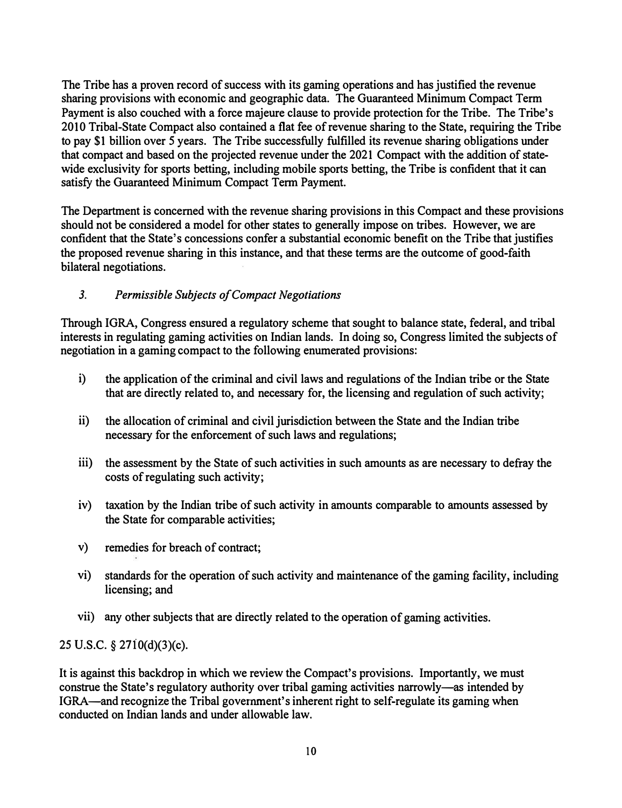**The Tribe has a proven record of success with its gaming operations and has justified the revenue sharing provisions with economic and geographic data. The Guaranteed Minimum Compact Term Payment is also couched with a force majeure clause to provide protection for the Tribe. The Tribe's 2010 Tribal-State Compact also contained a flat fee of revenue sharing to the State, requiring the Tribe to pay \$1 billion over S years. The Tribe successfully fulfilled its revenue sharing obligations under that compact and based on the projected revenue under the 2021 Compact with the addition of statewide exclusivity for sports betting, including mobile sports betting, the Tribe is confident that it can**  satisfy the Guaranteed Minimum Compact Term Payment.

**The Department is concerned with the revenue sharing provisions in this Compact and these provisions should not be considered a model for other states to generally impose on tribes. However, we are confident that the State's concessions confer a substantial economic benefit on the Tribe that justifies the proposed revenue sharing in this instance, and that these tenns are the outcome of good-faith bilateral negotiations.** 

# *3. Permissible Subjects of Compact Negotiations*

**Through IGRA, Congress ensured a regulatory scheme that sought to balance state, federal, and tribal interests in regulating gaming activities on Indian lands. In doing so, Congress limited the subjects of negotiation in a gaming compact to the following enumerated provisions:** 

- **i) the application of the criminal and civil laws and regulations of the Indian tribe or the State that are directly related to, and necessary for, the licensing and regulation of such activity;**
- **ii) the allocation of criminal and civil jurisdiction between the State and the Indian tribe necessary for the enforcement of such laws and regulations;**
- iii) **the assessment by the State of such activities in such amounts as are necessary to defray the costs of regulating such activity;**
- **iv) taxation by the Indian tribe of such activity in amounts comparable to amounts assessed by the State for comparable activities;**
- **v) remedies for breach of contract;**
- **vi) standards for the operation of such activity and maintenance of the gaming facility, including licensing; and**
- **vii) any other subjects that are directly related to the operation of gaming activities.**

**25 U.S.C.** § **27i0(d)(3)(c).** 

It is against this backdrop in which we review the Compact's provisions. Importantly, we must **construe the State's regulatory authority over tribal gaming activities narrowly-as intended by IGRA-and recognize the Tribal government's inherent right to self-regulate its gaming when conducted on Indian lands and under allowable law.**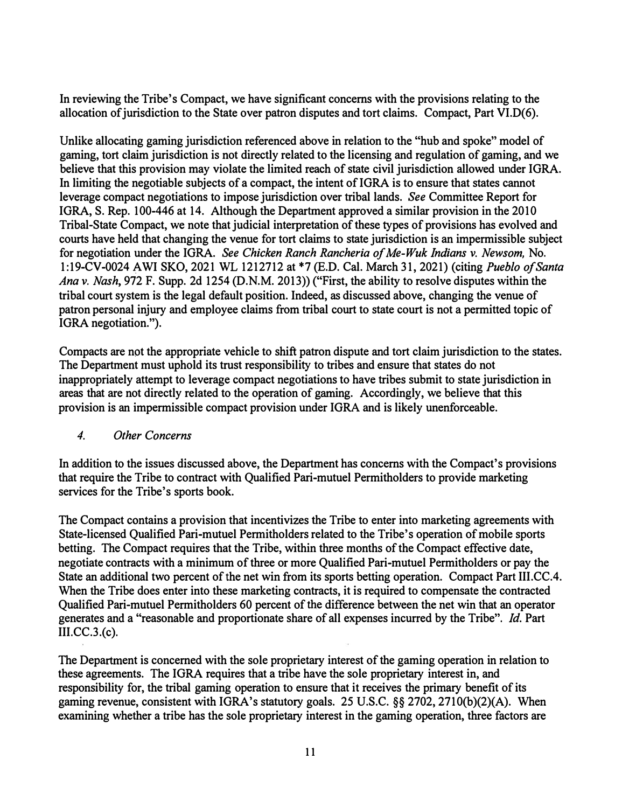**In reviewing the Tribe's Compact, we have significant concerns with the provisions relating to the**  allocation of jurisdiction to the State over patron disputes and tort claims. Compact, Part VI.D(6).

**Unlike allocating gaming jurisdiction referenced above in relation to the "hub and spoke" model of gaming, tort claim jurisdiction is not directly related to the licensing and regulation of gaming, and we believe that this provision may violate the limited reach of state civil jurisdiction allowed under IGRA. In limiting the negotiable subjects of a compact, the intent of IGRA is to ensure that states cannot leverage compact negotiations to impose jurisdiction over tribal lands.** *See* **Committee Report for IGRA, S. Rep. 100-446 at 14. Although the Department approved a similar provision in the 2010 Tribal-State Compact, we note that judicial interpretation of these types of provisions has evolved and courts have held that changing the venue for tort claims to state jurisdiction is an impermissible subject for negotiation under the IGRA.** *See Chicken Ranch Rancheria of Me-Wuk Indians v. Newsom,* **No. 1:19-CV-0024 AWi SKO, 2021 WL 1212712 at \*7 (E.D. Cal. March 31, 2021) (citing** *Pueblo of Santa Ana v. Nash,* **972 F. Supp. 2d 1254 (D.N.M. 2013)) ("First, the ability to resolve disputes within the tribal court system is the legal default position. Indeed, as discussed above, changing the venue of patron personal injury and employee claims from tribal court to state court is not a permitted topic of IGRA negotiation.").** 

**Compacts are not the appropriate vehicle to shift patron dispute and tort claim jurisdiction to the states. The Department must uphold its trust responsibility to tribes and ensure that states do not inappropriately attempt to leverage compact negotiations to have tribes submit to state jurisdiction in areas that are not directly related to the operation of gaming. Accordingly, we believe that this provision is an impermissible compact provision under IGRA and is likely unenforceable.** 

### *4. Other Concerns*

**In addition to the issues discussed above, the Department has concerns with the Compact's provisions that require the Tribe to contract with Qualified Pari-mutuel Permitholders to provide marketing services for the Tribe's sports book.** 

**The Compact contains a provision that incentivizes the Tribe to enter into marketing agreements with State-licensed Qualified Pari-mutuel Permitholders related to the Tribe's operation of mobile sports betting. The Compact requires that the Tribe, within three months of the Compact effective date, negotiate contracts with a minimum of three or more Qualified Pari-mutuel Permitholders or pay the State an additional two percent of the net win from its sports betting operation. Compact Part 111.CC.4. When the Tribe does enter into these marketing contracts, it is required to compensate the contracted Qualified Pari-mutuel Permitholders 60 percent of the difference between the net win that an operator generates and a "reasonable and proportionate share of all expenses incurred by the Tribe".** *Id.* **Part 111.CC.3.(c).**

**The Department is concerned with the sole proprietary interest of the gaming operation in relation to**  these agreements. The IGRA requires that a tribe have the sole proprietary interest in, and **responsibility for, the tribal gaming operation to ensure that it receives the primary benefit of its gaming revenue, consistent with IGRA's statutory goals. 25 U.S.C. §§ 2702, 2710(b)(2)(A). When examining whether a tribe has the sole proprietary interest in the gaming operation, three factors are**